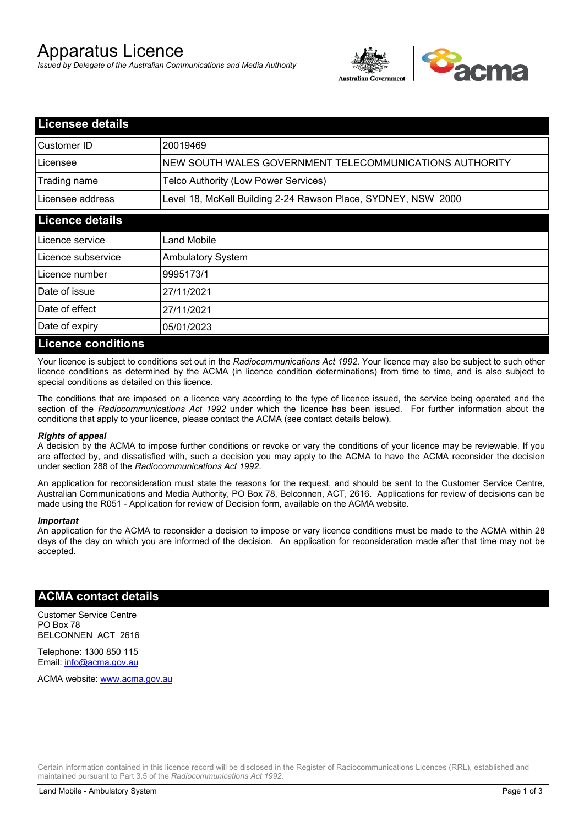# Apparatus Licence

*Issued by Delegate of the Australian Communications and Media Authority*



| Licensee details          |                                                               |  |
|---------------------------|---------------------------------------------------------------|--|
| Customer ID               | 20019469                                                      |  |
| Licensee                  | NEW SOUTH WALES GOVERNMENT TELECOMMUNICATIONS AUTHORITY       |  |
| Trading name              | Telco Authority (Low Power Services)                          |  |
| Licensee address          | Level 18, McKell Building 2-24 Rawson Place, SYDNEY, NSW 2000 |  |
| <b>Licence details</b>    |                                                               |  |
| l Licence service         | Land Mobile                                                   |  |
| Licence subservice        | <b>Ambulatory System</b>                                      |  |
| Licence number            | 9995173/1                                                     |  |
| Date of issue             | 27/11/2021                                                    |  |
| Date of effect            | 27/11/2021                                                    |  |
| Date of expiry            | 05/01/2023                                                    |  |
| <b>Licence conditions</b> |                                                               |  |

Your licence is subject to conditions set out in the *Radiocommunications Act 1992*. Your licence may also be subject to such other licence conditions as determined by the ACMA (in licence condition determinations) from time to time, and is also subject to special conditions as detailed on this licence.

The conditions that are imposed on a licence vary according to the type of licence issued, the service being operated and the section of the *Radiocommunications Act 1992* under which the licence has been issued. For further information about the conditions that apply to your licence, please contact the ACMA (see contact details below).

### *Rights of appeal*

A decision by the ACMA to impose further conditions or revoke or vary the conditions of your licence may be reviewable. If you are affected by, and dissatisfied with, such a decision you may apply to the ACMA to have the ACMA reconsider the decision under section 288 of the *Radiocommunications Act 1992*.

An application for reconsideration must state the reasons for the request, and should be sent to the Customer Service Centre, Australian Communications and Media Authority, PO Box 78, Belconnen, ACT, 2616. Applications for review of decisions can be made using the R051 - Application for review of Decision form, available on the ACMA website.

#### *Important*

An application for the ACMA to reconsider a decision to impose or vary licence conditions must be made to the ACMA within 28 days of the day on which you are informed of the decision. An application for reconsideration made after that time may not be accepted.

### **ACMA contact details**

Customer Service Centre PO Box 78 BELCONNEN ACT 2616

Telephone: 1300 850 115 Email: info@acma.gov.au

ACMA website: www.acma.gov.au

Certain information contained in this licence record will be disclosed in the Register of Radiocommunications Licences (RRL), established and maintained pursuant to Part 3.5 of the *Radiocommunications Act 1992.*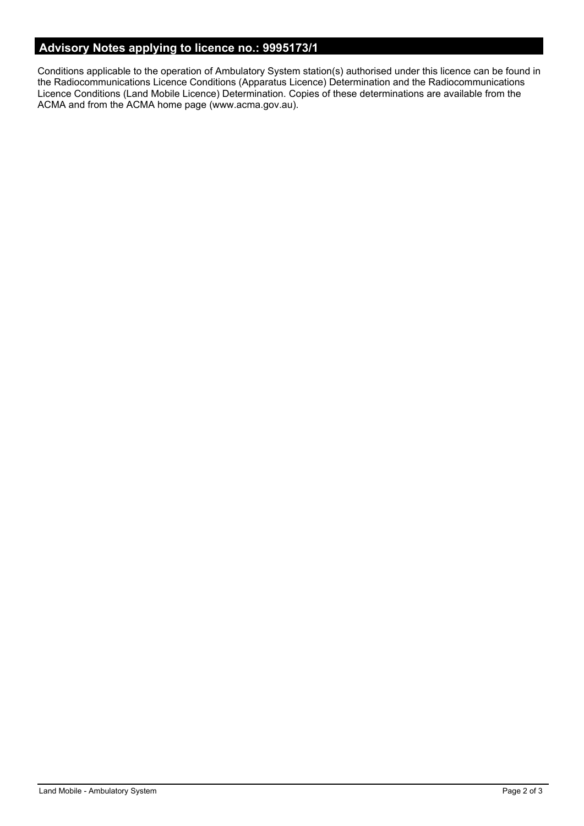# **Advisory Notes applying to licence no.: 9995173/1**

Conditions applicable to the operation of Ambulatory System station(s) authorised under this licence can be found in the Radiocommunications Licence Conditions (Apparatus Licence) Determination and the Radiocommunications Licence Conditions (Land Mobile Licence) Determination. Copies of these determinations are available from the ACMA and from the ACMA home page (www.acma.gov.au).